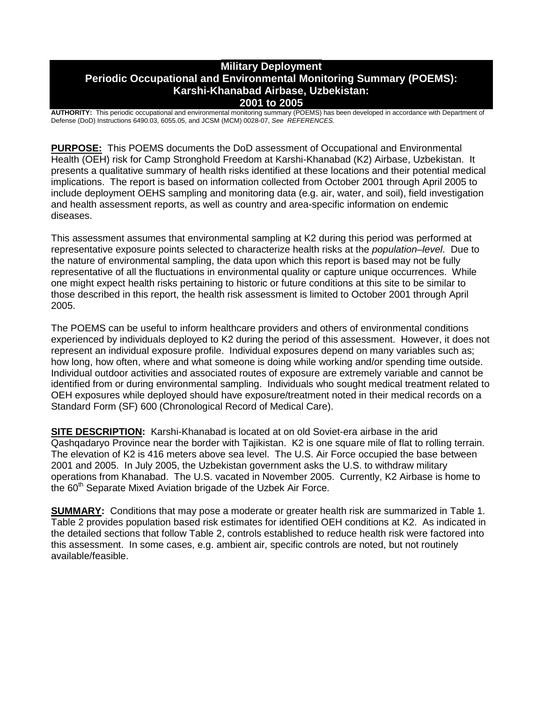### **Military Deployment Periodic Occupational and Environmental Monitoring Summary (POEMS): Karshi-Khanabad Airbase, Uzbekistan: 2001 to 2005**

**AUTHORITY:** This periodic occupational and environmental monitoring summary (POEMS) has been developed in accordance with Department of Defense (DoD) Instructions 6490.03, 6055.05, and JCSM (MCM) 0028-07, *See REFERENCES.*

**PURPOSE:** This POEMS documents the DoD assessment of Occupational and Environmental Health (OEH) risk for Camp Stronghold Freedom at Karshi-Khanabad (K2) Airbase, Uzbekistan. It presents a qualitative summary of health risks identified at these locations and their potential medical implications. The report is based on information collected from October 2001 through April 2005 to include deployment OEHS sampling and monitoring data (e.g. air, water, and soil), field investigation and health assessment reports, as well as country and area-specific information on endemic diseases.

This assessment assumes that environmental sampling at K2 during this period was performed at representative exposure points selected to characterize health risks at the *population–level*. Due to the nature of environmental sampling, the data upon which this report is based may not be fully representative of all the fluctuations in environmental quality or capture unique occurrences. While one might expect health risks pertaining to historic or future conditions at this site to be similar to those described in this report, the health risk assessment is limited to October 2001 through April 2005.

The POEMS can be useful to inform healthcare providers and others of environmental conditions experienced by individuals deployed to K2 during the period of this assessment. However, it does not represent an individual exposure profile. Individual exposures depend on many variables such as; how long, how often, where and what someone is doing while working and/or spending time outside. Individual outdoor activities and associated routes of exposure are extremely variable and cannot be identified from or during environmental sampling. Individuals who sought medical treatment related to OEH exposures while deployed should have exposure/treatment noted in their medical records on a Standard Form (SF) 600 (Chronological Record of Medical Care).

**SITE DESCRIPTION:** Karshi-Khanabad is located at on old Soviet-era airbase in the arid Qashqadaryo Province near the border with Tajikistan. K2 is one square mile of flat to rolling terrain. The elevation of K2 is 416 meters above sea level. The U.S. Air Force occupied the base between 2001 and 2005. In July 2005, the Uzbekistan government asks the U.S. to withdraw military operations from Khanabad. The U.S. vacated in November 2005. Currently, K2 Airbase is home to the 60<sup>th</sup> Separate Mixed Aviation brigade of the Uzbek Air Force.

**SUMMARY:** Conditions that may pose a moderate or greater health risk are summarized in Table 1. Table 2 provides population based risk estimates for identified OEH conditions at K2. As indicated in the detailed sections that follow Table 2, controls established to reduce health risk were factored into this assessment. In some cases, e.g. ambient air, specific controls are noted, but not routinely available/feasible.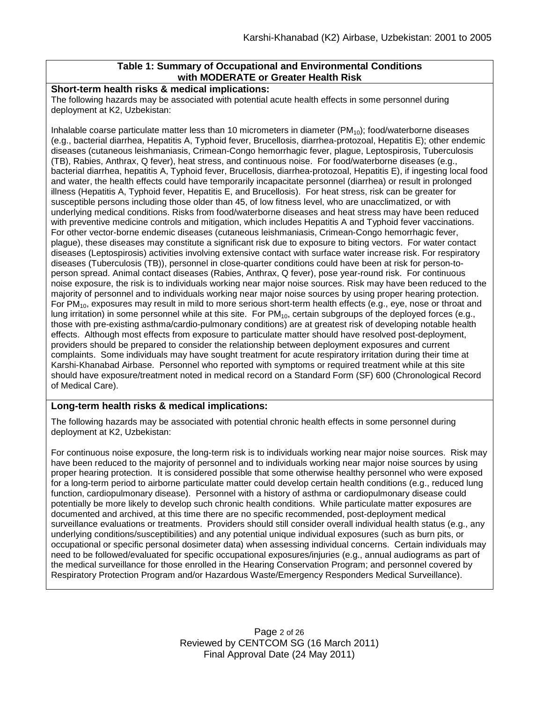## **Table 1: Summary of Occupational and Environmental Conditions with MODERATE or Greater Health Risk**

## **Short-term health risks & medical implications:**

The following hazards may be associated with potential acute health effects in some personnel during deployment at K2, Uzbekistan:

Inhalable coarse particulate matter less than 10 micrometers in diameter ( $PM_{10}$ ); food/waterborne diseases (e.g., bacterial diarrhea, Hepatitis A, Typhoid fever, Brucellosis, diarrhea-protozoal, Hepatitis E); other endemic diseases (cutaneous leishmaniasis, Crimean-Congo hemorrhagic fever, plague, Leptospirosis, Tuberculosis (TB), Rabies, Anthrax, Q fever), heat stress, and continuous noise. For food/waterborne diseases (e.g., bacterial diarrhea, hepatitis A, Typhoid fever, Brucellosis, diarrhea-protozoal, Hepatitis E), if ingesting local food and water, the health effects could have temporarily incapacitate personnel (diarrhea) or result in prolonged illness (Hepatitis A, Typhoid fever, Hepatitis E, and Brucellosis). For heat stress, risk can be greater for susceptible persons including those older than 45, of low fitness level, who are unacclimatized, or with underlying medical conditions. Risks from food/waterborne diseases and heat stress may have been reduced with preventive medicine controls and mitigation, which includes Hepatitis A and Typhoid fever vaccinations. For other vector-borne endemic diseases (cutaneous leishmaniasis, Crimean-Congo hemorrhagic fever, plague), these diseases may constitute a significant risk due to exposure to biting vectors. For water contact diseases (Leptospirosis) activities involving extensive contact with surface water increase risk. For respiratory diseases (Tuberculosis (TB)), personnel in close-quarter conditions could have been at risk for person-toperson spread. Animal contact diseases (Rabies, Anthrax, Q fever), pose year-round risk. For continuous noise exposure, the risk is to individuals working near major noise sources. Risk may have been reduced to the majority of personnel and to individuals working near major noise sources by using proper hearing protection. For PM<sub>10</sub>, exposures may result in mild to more serious short-term health effects (e.g., eye, nose or throat and lung irritation) in some personnel while at this site. For  $PM_{10}$ , certain subgroups of the deployed forces (e.g., those with pre-existing asthma/cardio-pulmonary conditions) are at greatest risk of developing notable health effects. Although most effects from exposure to particulate matter should have resolved post-deployment, providers should be prepared to consider the relationship between deployment exposures and current complaints. Some individuals may have sought treatment for acute respiratory irritation during their time at Karshi-Khanabad Airbase. Personnel who reported with symptoms or required treatment while at this site should have exposure/treatment noted in medical record on a Standard Form (SF) 600 (Chronological Record of Medical Care).

## **Long-term health risks & medical implications:**

The following hazards may be associated with potential chronic health effects in some personnel during deployment at K2, Uzbekistan:

For continuous noise exposure, the long-term risk is to individuals working near major noise sources. Risk may have been reduced to the majority of personnel and to individuals working near major noise sources by using proper hearing protection. It is considered possible that some otherwise healthy personnel who were exposed for a long-term period to airborne particulate matter could develop certain health conditions (e.g., reduced lung function, cardiopulmonary disease). Personnel with a history of asthma or cardiopulmonary disease could potentially be more likely to develop such chronic health conditions. While particulate matter exposures are documented and archived, at this time there are no specific recommended, post-deployment medical surveillance evaluations or treatments. Providers should still consider overall individual health status (e.g., any underlying conditions/susceptibilities) and any potential unique individual exposures (such as burn pits, or occupational or specific personal dosimeter data) when assessing individual concerns. Certain individuals may need to be followed/evaluated for specific occupational exposures/injuries (e.g., annual audiograms as part of the medical surveillance for those enrolled in the Hearing Conservation Program; and personnel covered by Respiratory Protection Program and/or Hazardous Waste/Emergency Responders Medical Surveillance).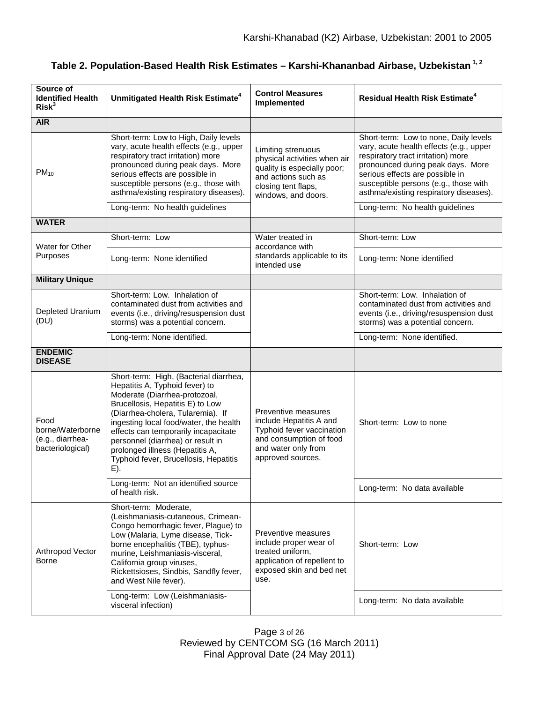| Source of<br><b>Identified Health</b><br>Risk <sup>3</sup>       | Unmitigated Health Risk Estimate <sup>4</sup>                                                                                                                                                                                                                                                                                                                                                | <b>Control Measures</b><br>Implemented                                                                                                                 | <b>Residual Health Risk Estimate<sup>4</sup></b>                                                                                                                                                                                                                                                                     |
|------------------------------------------------------------------|----------------------------------------------------------------------------------------------------------------------------------------------------------------------------------------------------------------------------------------------------------------------------------------------------------------------------------------------------------------------------------------------|--------------------------------------------------------------------------------------------------------------------------------------------------------|----------------------------------------------------------------------------------------------------------------------------------------------------------------------------------------------------------------------------------------------------------------------------------------------------------------------|
| <b>AIR</b>                                                       |                                                                                                                                                                                                                                                                                                                                                                                              |                                                                                                                                                        |                                                                                                                                                                                                                                                                                                                      |
| $PM_{10}$                                                        | Short-term: Low to High, Daily levels<br>vary, acute health effects (e.g., upper<br>respiratory tract irritation) more<br>pronounced during peak days. More<br>serious effects are possible in<br>susceptible persons (e.g., those with<br>asthma/existing respiratory diseases).<br>Long-term: No health guidelines                                                                         | Limiting strenuous<br>physical activities when air<br>quality is especially poor;<br>and actions such as<br>closing tent flaps,<br>windows, and doors. | Short-term: Low to none, Daily levels<br>vary, acute health effects (e.g., upper<br>respiratory tract irritation) more<br>pronounced during peak days. More<br>serious effects are possible in<br>susceptible persons (e.g., those with<br>asthma/existing respiratory diseases).<br>Long-term: No health guidelines |
| <b>WATER</b>                                                     |                                                                                                                                                                                                                                                                                                                                                                                              |                                                                                                                                                        |                                                                                                                                                                                                                                                                                                                      |
|                                                                  |                                                                                                                                                                                                                                                                                                                                                                                              |                                                                                                                                                        |                                                                                                                                                                                                                                                                                                                      |
| Water for Other                                                  | Short-term: Low                                                                                                                                                                                                                                                                                                                                                                              | Water treated in<br>accordance with<br>standards applicable to its<br>intended use                                                                     | Short-term: Low                                                                                                                                                                                                                                                                                                      |
| Purposes                                                         | Long-term: None identified                                                                                                                                                                                                                                                                                                                                                                   |                                                                                                                                                        | Long-term: None identified                                                                                                                                                                                                                                                                                           |
| <b>Military Unique</b>                                           |                                                                                                                                                                                                                                                                                                                                                                                              |                                                                                                                                                        |                                                                                                                                                                                                                                                                                                                      |
| Depleted Uranium<br>(DU)                                         | Short-term: Low. Inhalation of<br>contaminated dust from activities and<br>events (i.e., driving/resuspension dust<br>storms) was a potential concern.                                                                                                                                                                                                                                       |                                                                                                                                                        | Short-term: Low. Inhalation of<br>contaminated dust from activities and<br>events (i.e., driving/resuspension dust<br>storms) was a potential concern.                                                                                                                                                               |
|                                                                  | Long-term: None identified.                                                                                                                                                                                                                                                                                                                                                                  |                                                                                                                                                        | Long-term: None identified.                                                                                                                                                                                                                                                                                          |
| <b>ENDEMIC</b><br><b>DISEASE</b>                                 |                                                                                                                                                                                                                                                                                                                                                                                              |                                                                                                                                                        |                                                                                                                                                                                                                                                                                                                      |
| Food<br>borne/Waterborne<br>(e.g., diarrhea-<br>bacteriological) | Short-term: High, (Bacterial diarrhea,<br>Hepatitis A, Typhoid fever) to<br>Moderate (Diarrhea-protozoal,<br>Brucellosis, Hepatitis E) to Low<br>(Diarrhea-cholera, Tularemia). If<br>ingesting local food/water, the health<br>effects can temporarily incapacitate<br>personnel (diarrhea) or result in<br>prolonged illness (Hepatitis A,<br>Typhoid fever, Brucellosis, Hepatitis<br>E). | Preventive measures<br>include Hepatitis A and<br>Typhoid fever vaccination<br>and consumption of food<br>and water only from<br>approved sources.     | Short-term: Low to none                                                                                                                                                                                                                                                                                              |
|                                                                  | Long-term: Not an identified source<br>of health risk.                                                                                                                                                                                                                                                                                                                                       |                                                                                                                                                        | Long-term: No data available                                                                                                                                                                                                                                                                                         |
| Arthropod Vector<br>Borne                                        | Short-term: Moderate,<br>(Leishmaniasis-cutaneous, Crimean-<br>Congo hemorrhagic fever, Plague) to<br>Low (Malaria, Lyme disease, Tick-<br>borne encephalitis (TBE), typhus-<br>murine, Leishmaniasis-visceral,<br>California group viruses,<br>Rickettsioses, Sindbis, Sandfly fever,<br>and West Nile fever).                                                                              | Preventive measures<br>include proper wear of<br>treated uniform,<br>application of repellent to<br>exposed skin and bed net<br>use.                   | Short-term: Low                                                                                                                                                                                                                                                                                                      |
|                                                                  | Long-term: Low (Leishmaniasis-<br>visceral infection)                                                                                                                                                                                                                                                                                                                                        |                                                                                                                                                        | Long-term: No data available                                                                                                                                                                                                                                                                                         |

**Table 2. Population-Based Health Risk Estimates – Karshi-Khananbad Airbase, Uzbekistan 1, 2**

Page 3 of 26 Reviewed by CENTCOM SG (16 March 2011) Final Approval Date (24 May 2011)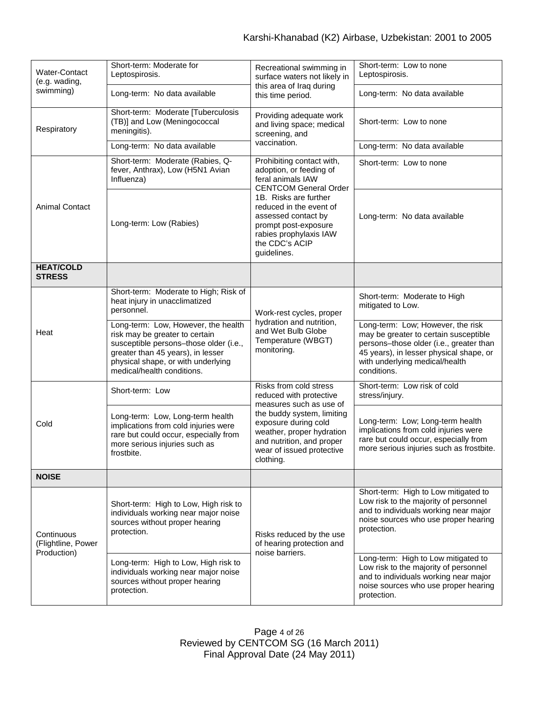| Water-Contact<br>(e.g. wading,<br>swimming)     | Short-term: Moderate for<br>Leptospirosis.                                                                                                                                                                               | Recreational swimming in<br>surface waters not likely in<br>this area of Iraq during<br>this time period.                                                                                                                                                               | Short-term: Low to none<br>Leptospirosis.                                                                                                                                                                         |
|-------------------------------------------------|--------------------------------------------------------------------------------------------------------------------------------------------------------------------------------------------------------------------------|-------------------------------------------------------------------------------------------------------------------------------------------------------------------------------------------------------------------------------------------------------------------------|-------------------------------------------------------------------------------------------------------------------------------------------------------------------------------------------------------------------|
|                                                 | Long-term: No data available                                                                                                                                                                                             |                                                                                                                                                                                                                                                                         | Long-term: No data available                                                                                                                                                                                      |
| Respiratory                                     | Short-term: Moderate [Tuberculosis<br>(TB)] and Low (Meningococcal<br>meningitis).                                                                                                                                       | Providing adequate work<br>and living space; medical<br>screening, and<br>vaccination.                                                                                                                                                                                  | Short-term: Low to none                                                                                                                                                                                           |
|                                                 | Long-term: No data available                                                                                                                                                                                             |                                                                                                                                                                                                                                                                         | Long-term: No data available                                                                                                                                                                                      |
| <b>Animal Contact</b>                           | Short-term: Moderate (Rabies, Q-<br>fever, Anthrax), Low (H5N1 Avian<br>Influenza)                                                                                                                                       | Prohibiting contact with,<br>adoption, or feeding of<br>feral animals IAW<br><b>CENTCOM General Order</b><br>1B. Risks are further<br>reduced in the event of<br>assessed contact by<br>prompt post-exposure<br>rabies prophylaxis IAW<br>the CDC's ACIP<br>guidelines. | Short-term: Low to none                                                                                                                                                                                           |
|                                                 | Long-term: Low (Rabies)                                                                                                                                                                                                  |                                                                                                                                                                                                                                                                         | Long-term: No data available                                                                                                                                                                                      |
| <b>HEAT/COLD</b><br><b>STRESS</b>               |                                                                                                                                                                                                                          |                                                                                                                                                                                                                                                                         |                                                                                                                                                                                                                   |
| Heat                                            | Short-term: Moderate to High; Risk of<br>heat injury in unacclimatized<br>personnel.                                                                                                                                     | Work-rest cycles, proper<br>hydration and nutrition,<br>and Wet Bulb Globe<br>Temperature (WBGT)<br>monitoring.                                                                                                                                                         | Short-term: Moderate to High<br>mitigated to Low.                                                                                                                                                                 |
|                                                 | Long-term: Low, However, the health<br>risk may be greater to certain<br>susceptible persons-those older (i.e.,<br>greater than 45 years), in lesser<br>physical shape, or with underlying<br>medical/health conditions. |                                                                                                                                                                                                                                                                         | Long-term: Low; However, the risk<br>may be greater to certain susceptible<br>persons-those older (i.e., greater than<br>45 years), in lesser physical shape, or<br>with underlying medical/health<br>conditions. |
| Cold                                            | Short-term: Low                                                                                                                                                                                                          | Risks from cold stress<br>reduced with protective<br>measures such as use of<br>the buddy system, limiting<br>exposure during cold<br>weather, proper hydration<br>and nutrition, and proper<br>wear of issued protective<br>clothing.                                  | Short-term: Low risk of cold<br>stress/injury.                                                                                                                                                                    |
|                                                 | Long-term: Low, Long-term health<br>implications from cold injuries were<br>rare but could occur, especially from<br>more serious injuries such as<br>frostbite.                                                         |                                                                                                                                                                                                                                                                         | Long-term: Low; Long-term health<br>implications from cold injuries were<br>rare but could occur, especially from<br>more serious injuries such as frostbite.                                                     |
| <b>NOISE</b>                                    |                                                                                                                                                                                                                          |                                                                                                                                                                                                                                                                         |                                                                                                                                                                                                                   |
| Continuous<br>(Flightline, Power<br>Production) | Short-term: High to Low, High risk to<br>individuals working near major noise<br>sources without proper hearing<br>protection.                                                                                           | Risks reduced by the use<br>of hearing protection and<br>noise barriers.                                                                                                                                                                                                | Short-term: High to Low mitigated to<br>Low risk to the majority of personnel<br>and to individuals working near major<br>noise sources who use proper hearing<br>protection.                                     |
|                                                 | Long-term: High to Low, High risk to<br>individuals working near major noise<br>sources without proper hearing<br>protection.                                                                                            |                                                                                                                                                                                                                                                                         | Long-term: High to Low mitigated to<br>Low risk to the majority of personnel<br>and to individuals working near major<br>noise sources who use proper hearing<br>protection.                                      |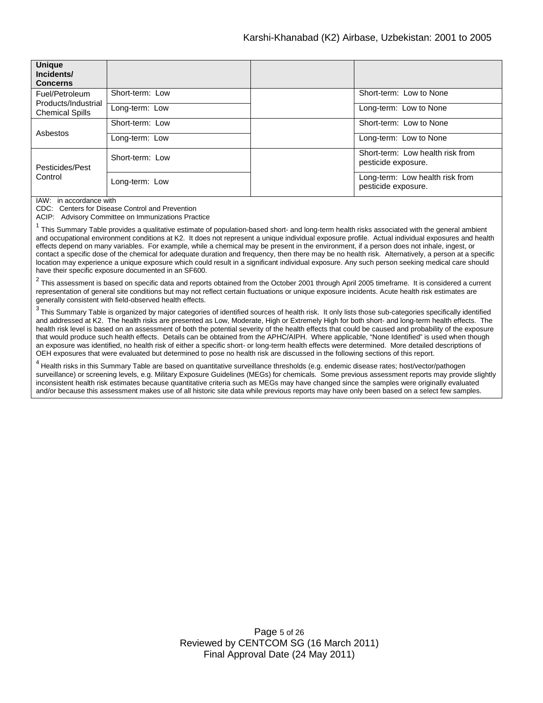| <b>Unique</b><br>Incidents/<br><b>Concerns</b>                  |                 |  |                                                         |
|-----------------------------------------------------------------|-----------------|--|---------------------------------------------------------|
| Fuel/Petroleum<br>Products/Industrial<br><b>Chemical Spills</b> | Short-term: Low |  | Short-term: Low to None                                 |
|                                                                 | Long-term: Low  |  | Long-term: Low to None                                  |
| Asbestos                                                        | Short-term: Low |  | Short-term: Low to None                                 |
|                                                                 | Long-term: Low  |  | Long-term: Low to None                                  |
| Pesticides/Pest<br>Control                                      | Short-term: Low |  | Short-term: Low health risk from<br>pesticide exposure. |
|                                                                 | Long-term: Low  |  | Long-term: Low health risk from<br>pesticide exposure.  |

IAW: in accordance with

CDC: Centers for Disease Control and Prevention

ACIP: Advisory Committee on Immunizations Practice

 $1$  This Summary Table provides a qualitative estimate of population-based short- and long-term health risks associated with the general ambient and occupational environment conditions at K2. It does not represent a unique individual exposure profile. Actual individual exposures and health effects depend on many variables. For example, while a chemical may be present in the environment, if a person does not inhale, ingest, or contact a specific dose of the chemical for adequate duration and frequency, then there may be no health risk. Alternatively, a person at a specific location may experience a unique exposure which could result in a significant individual exposure. Any such person seeking medical care should have their specific exposure documented in an SF600.

 $2$  This assessment is based on specific data and reports obtained from the October 2001 through April 2005 timeframe. It is considered a current representation of general site conditions but may not reflect certain fluctuations or unique exposure incidents. Acute health risk estimates are generally consistent with field-observed health effects.

 $3$  This Summary Table is organized by major categories of identified sources of health risk. It only lists those sub-categories specifically identified and addressed at K2. The health risks are presented as Low, Moderate, High or Extremely High for both short- and long-term health effects. The health risk level is based on an assessment of both the potential severity of the health effects that could be caused and probability of the exposure that would produce such health effects. Details can be obtained from the APHC/AIPH. Where applicable, "None Identified" is used when though an exposure was identified, no health risk of either a specific short- or long-term health effects were determined. More detailed descriptions of OEH exposures that were evaluated but determined to pose no health risk are discussed in the following sections of this report.

<sup>4</sup> Health risks in this Summary Table are based on quantitative surveillance thresholds (e.g. endemic disease rates; host/vector/pathogen surveillance) or screening levels, e.g. Military Exposure Guidelines (MEGs) for chemicals*.* Some previous assessment reports may provide slightly inconsistent health risk estimates because quantitative criteria such as MEGs may have changed since the samples were originally evaluated and/or because this assessment makes use of all historic site data while previous reports may have only been based on a select few samples.

> Page 5 of 26 Reviewed by CENTCOM SG (16 March 2011) Final Approval Date (24 May 2011)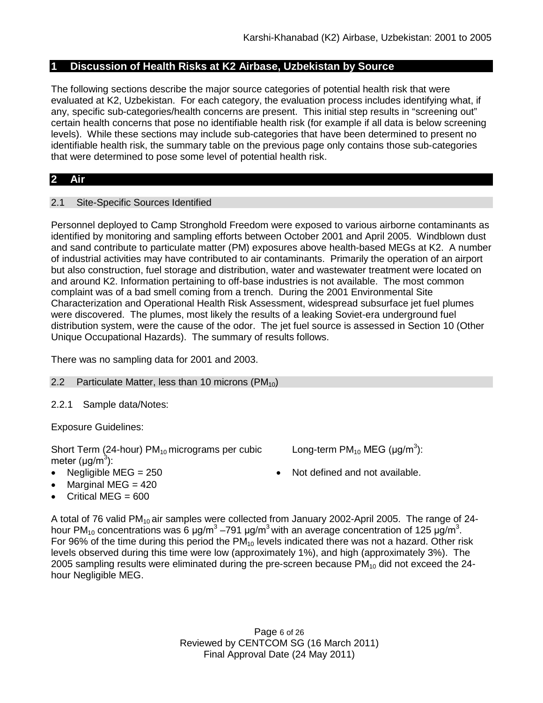# **1 Discussion of Health Risks at K2 Airbase, Uzbekistan by Source**

The following sections describe the major source categories of potential health risk that were evaluated at K2, Uzbekistan. For each category, the evaluation process includes identifying what, if any, specific sub-categories/health concerns are present. This initial step results in "screening out" certain health concerns that pose no identifiable health risk (for example if all data is below screening levels). While these sections may include sub-categories that have been determined to present no identifiable health risk, the summary table on the previous page only contains those sub-categories that were determined to pose some level of potential health risk.

# **2 Air**

## 2.1 Site-Specific Sources Identified

Personnel deployed to Camp Stronghold Freedom were exposed to various airborne contaminants as identified by monitoring and sampling efforts between October 2001 and April 2005. Windblown dust and sand contribute to particulate matter (PM) exposures above health-based MEGs at K2. A number of industrial activities may have contributed to air contaminants. Primarily the operation of an airport but also construction, fuel storage and distribution, water and wastewater treatment were located on and around K2. Information pertaining to off-base industries is not available. The most common complaint was of a bad smell coming from a trench. During the 2001 Environmental Site Characterization and Operational Health Risk Assessment, widespread subsurface jet fuel plumes were discovered. The plumes, most likely the results of a leaking Soviet-era underground fuel distribution system, were the cause of the odor. The jet fuel source is assessed in Section 10 (Other Unique Occupational Hazards). The summary of results follows.

There was no sampling data for 2001 and 2003.

## 2.2 Particulate Matter, less than 10 microns  $(PM_{10})$

2.2.1 Sample data/Notes:

Exposure Guidelines:

Short Term (24-hour)  $PM_{10}$  micrograms per cubic meter ( $\mu$ g/m $^3$ ):

- 
- Marginal MEG  $= 420$
- Critical MEG =  $600$

Long-term PM<sub>10</sub> MEG (µg/m<sup>3</sup>):

• Negligible MEG = 250 • Not defined and not available.

A total of 76 valid PM<sub>10</sub> air samples were collected from January 2002-April 2005. The range of 24hour PM<sub>10</sub> concentrations was 6 μg/m<sup>3</sup> –791 μg/m<sup>3</sup> with an average concentration of 125 μg/m<sup>3</sup>. For 96% of the time during this period the  $PM_{10}$  levels indicated there was not a hazard. Other risk levels observed during this time were low (approximately 1%), and high (approximately 3%). The 2005 sampling results were eliminated during the pre-screen because  $PM_{10}$  did not exceed the 24hour Negligible MEG.

> Page 6 of 26 Reviewed by CENTCOM SG (16 March 2011) Final Approval Date (24 May 2011)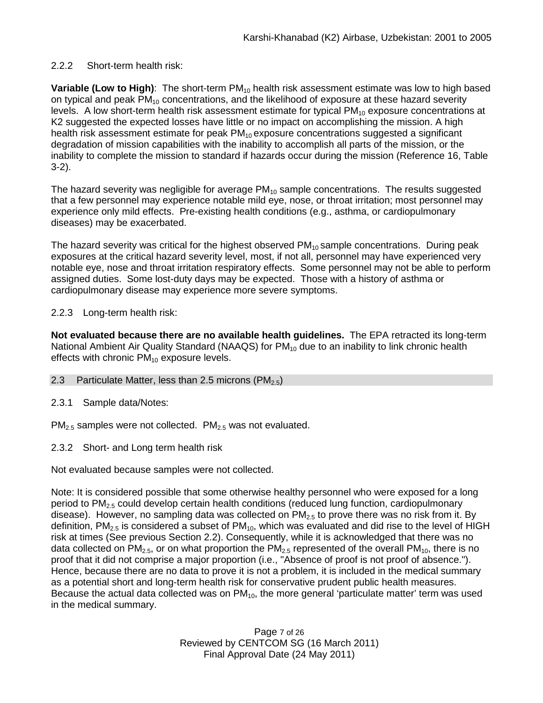# 2.2.2 Short-term health risk:

**Variable (Low to High):** The short-term PM<sub>10</sub> health risk assessment estimate was low to high based on typical and peak PM<sub>10</sub> concentrations, and the likelihood of exposure at these hazard severity levels. A low short-term health risk assessment estimate for typical  $PM_{10}$  exposure concentrations at K2 suggested the expected losses have little or no impact on accomplishing the mission. A high health risk assessment estimate for peak  $PM_{10}$  exposure concentrations suggested a significant degradation of mission capabilities with the inability to accomplish all parts of the mission, or the inability to complete the mission to standard if hazards occur during the mission (Reference 16, Table 3-2).

The hazard severity was negligible for average  $PM_{10}$  sample concentrations. The results suggested that a few personnel may experience notable mild eye, nose, or throat irritation; most personnel may experience only mild effects. Pre-existing health conditions (e.g., asthma, or cardiopulmonary diseases) may be exacerbated.

The hazard severity was critical for the highest observed  $PM_{10}$  sample concentrations. During peak exposures at the critical hazard severity level, most, if not all, personnel may have experienced very notable eye, nose and throat irritation respiratory effects. Some personnel may not be able to perform assigned duties. Some lost-duty days may be expected. Those with a history of asthma or cardiopulmonary disease may experience more severe symptoms.

# 2.2.3 Long-term health risk:

**Not evaluated because there are no available health guidelines.** The EPA retracted its long-term National Ambient Air Quality Standard (NAAQS) for  $PM_{10}$  due to an inability to link chronic health effects with chronic  $PM_{10}$  exposure levels.

## 2.3 Particulate Matter, less than 2.5 microns  $(PM_{2.5})$

2.3.1 Sample data/Notes:

 $PM<sub>2.5</sub>$  samples were not collected.  $PM<sub>2.5</sub>$  was not evaluated.

2.3.2 Short- and Long term health risk

Not evaluated because samples were not collected.

Note: It is considered possible that some otherwise healthy personnel who were exposed for a long period to PM<sub>2.5</sub> could develop certain health conditions (reduced lung function, cardiopulmonary disease). However, no sampling data was collected on  $PM<sub>2.5</sub>$  to prove there was no risk from it. By definition,  $PM_{2.5}$  is considered a subset of  $PM_{10}$ , which was evaluated and did rise to the level of HIGH risk at times (See previous Section 2.2). Consequently, while it is acknowledged that there was no data collected on  $PM_{2.5}$ , or on what proportion the  $PM_{2.5}$  represented of the overall  $PM_{10}$ , there is no proof that it did not comprise a major proportion (i.e., "Absence of proof is not proof of absence."). Hence, because there are no data to prove it is not a problem, it is included in the medical summary as a potential short and long-term health risk for conservative prudent public health measures. Because the actual data collected was on  $PM_{10}$ , the more general 'particulate matter' term was used in the medical summary.

> Page 7 of 26 Reviewed by CENTCOM SG (16 March 2011) Final Approval Date (24 May 2011)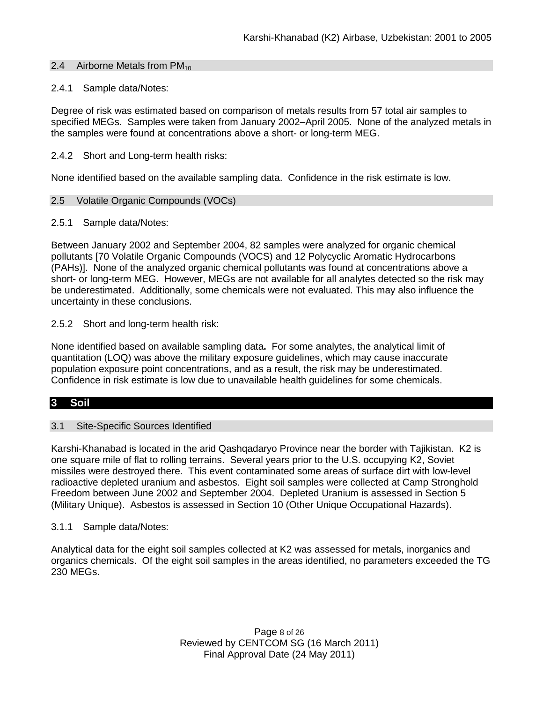### 2.4 Airborne Metals from  $PM_{10}$

### 2.4.1 Sample data/Notes:

Degree of risk was estimated based on comparison of metals results from 57 total air samples to specified MEGs. Samples were taken from January 2002–April 2005. None of the analyzed metals in the samples were found at concentrations above a short- or long-term MEG.

### 2.4.2 Short and Long-term health risks:

None identified based on the available sampling data. Confidence in the risk estimate is low.

### 2.5 Volatile Organic Compounds (VOCs)

### 2.5.1 Sample data/Notes:

Between January 2002 and September 2004, 82 samples were analyzed for organic chemical pollutants [70 Volatile Organic Compounds (VOCS) and 12 Polycyclic Aromatic Hydrocarbons (PAHs)]. None of the analyzed organic chemical pollutants was found at concentrations above a short- or long-term MEG. However, MEGs are not available for all analytes detected so the risk may be underestimated. Additionally, some chemicals were not evaluated. This may also influence the uncertainty in these conclusions.

2.5.2 Short and long-term health risk:

None identified based on available sampling data**.** For some analytes, the analytical limit of quantitation (LOQ) was above the military exposure guidelines, which may cause inaccurate population exposure point concentrations, and as a result, the risk may be underestimated. Confidence in risk estimate is low due to unavailable health guidelines for some chemicals.

## **3 Soil**

### 3.1 Site-Specific Sources Identified

Karshi-Khanabad is located in the arid Qashqadaryo Province near the border with Tajikistan. K2 is one square mile of flat to rolling terrains. Several years prior to the U.S. occupying K2, Soviet missiles were destroyed there. This event contaminated some areas of surface dirt with low-level radioactive depleted uranium and asbestos. Eight soil samples were collected at Camp Stronghold Freedom between June 2002 and September 2004. Depleted Uranium is assessed in Section 5 (Military Unique). Asbestos is assessed in Section 10 (Other Unique Occupational Hazards).

### 3.1.1 Sample data/Notes:

Analytical data for the eight soil samples collected at K2 was assessed for metals, inorganics and organics chemicals. Of the eight soil samples in the areas identified, no parameters exceeded the TG 230 MEGs.

> Page 8 of 26 Reviewed by CENTCOM SG (16 March 2011) Final Approval Date (24 May 2011)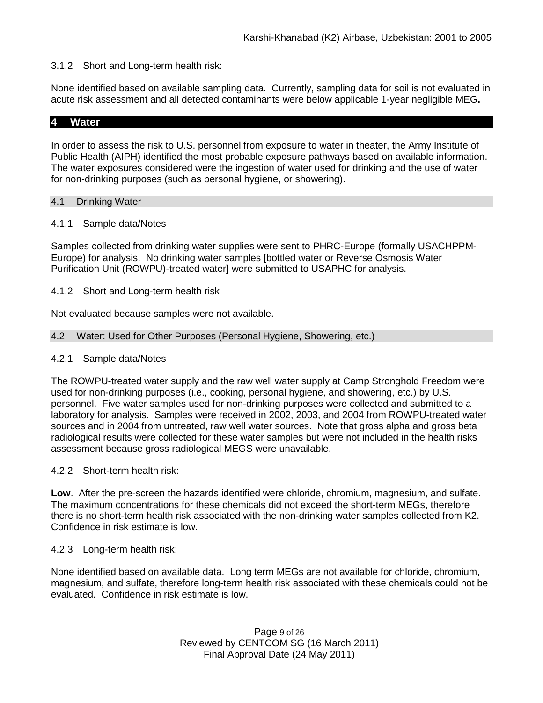## 3.1.2 Short and Long-term health risk:

None identified based on available sampling data. Currently, sampling data for soil is not evaluated in acute risk assessment and all detected contaminants were below applicable 1-year negligible MEG**.** 

### **4 Water**

In order to assess the risk to U.S. personnel from exposure to water in theater, the Army Institute of Public Health (AIPH) identified the most probable exposure pathways based on available information. The water exposures considered were the ingestion of water used for drinking and the use of water for non-drinking purposes (such as personal hygiene, or showering).

### 4.1 Drinking Water

### 4.1.1 Sample data/Notes

Samples collected from drinking water supplies were sent to PHRC-Europe (formally USACHPPM-Europe) for analysis. No drinking water samples [bottled water or Reverse Osmosis Water Purification Unit (ROWPU)-treated water] were submitted to USAPHC for analysis.

### 4.1.2 Short and Long-term health risk

Not evaluated because samples were not available.

### 4.2 Water: Used for Other Purposes (Personal Hygiene, Showering, etc.)

### 4.2.1 Sample data/Notes

The ROWPU-treated water supply and the raw well water supply at Camp Stronghold Freedom were used for non-drinking purposes (i.e., cooking, personal hygiene, and showering, etc.) by U.S. personnel. Five water samples used for non-drinking purposes were collected and submitted to a laboratory for analysis. Samples were received in 2002, 2003, and 2004 from ROWPU-treated water sources and in 2004 from untreated, raw well water sources. Note that gross alpha and gross beta radiological results were collected for these water samples but were not included in the health risks assessment because gross radiological MEGS were unavailable.

### 4.2.2 Short-term health risk:

**Low**. After the pre-screen the hazards identified were chloride, chromium, magnesium, and sulfate. The maximum concentrations for these chemicals did not exceed the short-term MEGs, therefore there is no short-term health risk associated with the non-drinking water samples collected from K2. Confidence in risk estimate is low.

### 4.2.3 Long-term health risk:

None identified based on available data. Long term MEGs are not available for chloride, chromium, magnesium, and sulfate, therefore long-term health risk associated with these chemicals could not be evaluated. Confidence in risk estimate is low.

> Page 9 of 26 Reviewed by CENTCOM SG (16 March 2011) Final Approval Date (24 May 2011)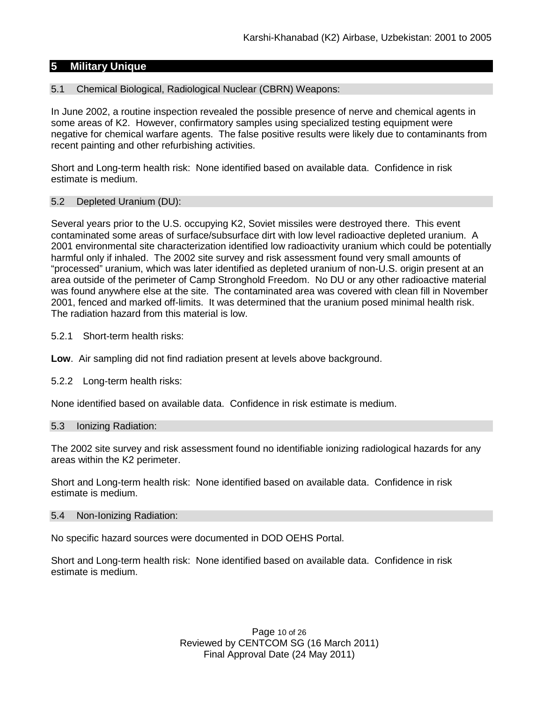## **5 Military Unique**

### 5.1 Chemical Biological, Radiological Nuclear (CBRN) Weapons:

In June 2002, a routine inspection revealed the possible presence of nerve and chemical agents in some areas of K2. However, confirmatory samples using specialized testing equipment were negative for chemical warfare agents. The false positive results were likely due to contaminants from recent painting and other refurbishing activities.

Short and Long-term health risk: None identified based on available data. Confidence in risk estimate is medium.

### 5.2 Depleted Uranium (DU):

Several years prior to the U.S. occupying K2, Soviet missiles were destroyed there. This event contaminated some areas of surface/subsurface dirt with low level radioactive depleted uranium. A 2001 environmental site characterization identified low radioactivity uranium which could be potentially harmful only if inhaled. The 2002 site survey and risk assessment found very small amounts of "processed" uranium, which was later identified as depleted uranium of non-U.S. origin present at an area outside of the perimeter of Camp Stronghold Freedom. No DU or any other radioactive material was found anywhere else at the site. The contaminated area was covered with clean fill in November 2001, fenced and marked off-limits. It was determined that the uranium posed minimal health risk. The radiation hazard from this material is low.

- 5.2.1 Short-term health risks:
- **Low**. Air sampling did not find radiation present at levels above background.
- 5.2.2 Long-term health risks:

None identified based on available data. Confidence in risk estimate is medium.

### 5.3 Ionizing Radiation:

The 2002 site survey and risk assessment found no identifiable ionizing radiological hazards for any areas within the K2 perimeter.

Short and Long-term health risk: None identified based on available data. Confidence in risk estimate is medium.

### 5.4 Non-Ionizing Radiation:

No specific hazard sources were documented in DOD OEHS Portal.

Short and Long-term health risk: None identified based on available data. Confidence in risk estimate is medium.

> Page 10 of 26 Reviewed by CENTCOM SG (16 March 2011) Final Approval Date (24 May 2011)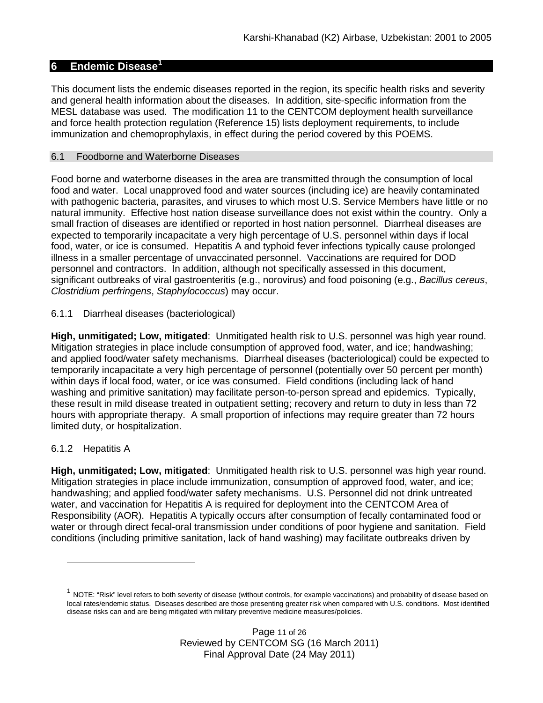# **6 Endemic Disease[1](#page-10-0)**

This document lists the endemic diseases reported in the region, its specific health risks and severity and general health information about the diseases. In addition, site-specific information from the MESL database was used. The modification 11 to the CENTCOM deployment health surveillance and force health protection regulation (Reference 15) lists deployment requirements, to include immunization and chemoprophylaxis, in effect during the period covered by this POEMS.

## 6.1 Foodborne and Waterborne Diseases

Food borne and waterborne diseases in the area are transmitted through the consumption of local food and water. Local unapproved food and water sources (including ice) are heavily contaminated with pathogenic bacteria, parasites, and viruses to which most U.S. Service Members have little or no natural immunity. Effective host nation disease surveillance does not exist within the country. Only a small fraction of diseases are identified or reported in host nation personnel. Diarrheal diseases are expected to temporarily incapacitate a very high percentage of U.S. personnel within days if local food, water, or ice is consumed. Hepatitis A and typhoid fever infections typically cause prolonged illness in a smaller percentage of unvaccinated personnel. Vaccinations are required for DOD personnel and contractors. In addition, although not specifically assessed in this document, significant outbreaks of viral gastroenteritis (e.g., norovirus) and food poisoning (e.g., *Bacillus cereus*, *Clostridium perfringens*, *Staphylococcus*) may occur.

# 6.1.1 Diarrheal diseases (bacteriological)

**High, unmitigated; Low, mitigated**: Unmitigated health risk to U.S. personnel was high year round. Mitigation strategies in place include consumption of approved food, water, and ice; handwashing; and applied food/water safety mechanisms. Diarrheal diseases (bacteriological) could be expected to temporarily incapacitate a very high percentage of personnel (potentially over 50 percent per month) within days if local food, water, or ice was consumed. Field conditions (including lack of hand washing and primitive sanitation) may facilitate person-to-person spread and epidemics. Typically, these result in mild disease treated in outpatient setting; recovery and return to duty in less than 72 hours with appropriate therapy. A small proportion of infections may require greater than 72 hours limited duty, or hospitalization.

## 6.1.2 Hepatitis A

-

**High, unmitigated; Low, mitigated**: Unmitigated health risk to U.S. personnel was high year round. Mitigation strategies in place include immunization, consumption of approved food, water, and ice; handwashing; and applied food/water safety mechanisms. U.S. Personnel did not drink untreated water, and vaccination for Hepatitis A is required for deployment into the CENTCOM Area of Responsibility (AOR). Hepatitis A typically occurs after consumption of fecally contaminated food or water or through direct fecal-oral transmission under conditions of poor hygiene and sanitation. Field conditions (including primitive sanitation, lack of hand washing) may facilitate outbreaks driven by

<span id="page-10-0"></span> $1$  NOTE: "Risk" level refers to both severity of disease (without controls, for example vaccinations) and probability of disease based on local rates/endemic status. Diseases described are those presenting greater risk when compared with U.S. conditions. Most identified disease risks can and are being mitigated with military preventive medicine measures/policies.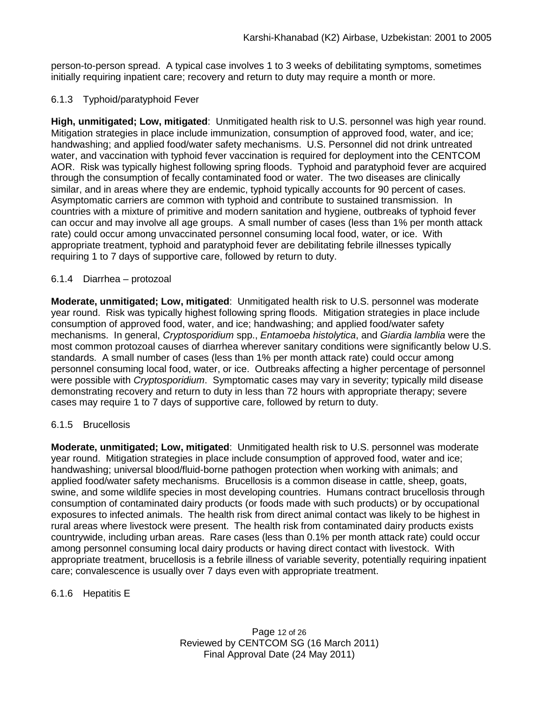person-to-person spread. A typical case involves 1 to 3 weeks of debilitating symptoms, sometimes initially requiring inpatient care; recovery and return to duty may require a month or more.

## 6.1.3 Typhoid/paratyphoid Fever

**High, unmitigated; Low, mitigated**: Unmitigated health risk to U.S. personnel was high year round. Mitigation strategies in place include immunization, consumption of approved food, water, and ice; handwashing; and applied food/water safety mechanisms. U.S. Personnel did not drink untreated water, and vaccination with typhoid fever vaccination is required for deployment into the CENTCOM AOR. Risk was typically highest following spring floods. Typhoid and paratyphoid fever are acquired through the consumption of fecally contaminated food or water. The two diseases are clinically similar, and in areas where they are endemic, typhoid typically accounts for 90 percent of cases. Asymptomatic carriers are common with typhoid and contribute to sustained transmission. In countries with a mixture of primitive and modern sanitation and hygiene, outbreaks of typhoid fever can occur and may involve all age groups. A small number of cases (less than 1% per month attack rate) could occur among unvaccinated personnel consuming local food, water, or ice. With appropriate treatment, typhoid and paratyphoid fever are debilitating febrile illnesses typically requiring 1 to 7 days of supportive care, followed by return to duty.

## 6.1.4 Diarrhea – protozoal

**Moderate, unmitigated; Low, mitigated**:Unmitigated health risk to U.S. personnel was moderate year round. Risk was typically highest following spring floods. Mitigation strategies in place include consumption of approved food, water, and ice; handwashing; and applied food/water safety mechanisms. In general, *Cryptosporidium* spp., *Entamoeba histolytica*, and *Giardia lamblia* were the most common protozoal causes of diarrhea wherever sanitary conditions were significantly below U.S. standards. A small number of cases (less than 1% per month attack rate) could occur among personnel consuming local food, water, or ice. Outbreaks affecting a higher percentage of personnel were possible with *Cryptosporidium*. Symptomatic cases may vary in severity; typically mild disease demonstrating recovery and return to duty in less than 72 hours with appropriate therapy; severe cases may require 1 to 7 days of supportive care, followed by return to duty.

## 6.1.5 Brucellosis

**Moderate, unmitigated; Low, mitigated**:Unmitigated health risk to U.S. personnel was moderate year round. Mitigation strategies in place include consumption of approved food, water and ice; handwashing; universal blood/fluid-borne pathogen protection when working with animals; and applied food/water safety mechanisms. Brucellosis is a common disease in cattle, sheep, goats, swine, and some wildlife species in most developing countries. Humans contract brucellosis through consumption of contaminated dairy products (or foods made with such products) or by occupational exposures to infected animals. The health risk from direct animal contact was likely to be highest in rural areas where livestock were present. The health risk from contaminated dairy products exists countrywide, including urban areas. Rare cases (less than 0.1% per month attack rate) could occur among personnel consuming local dairy products or having direct contact with livestock. With appropriate treatment, brucellosis is a febrile illness of variable severity, potentially requiring inpatient care; convalescence is usually over 7 days even with appropriate treatment.

## 6.1.6 Hepatitis E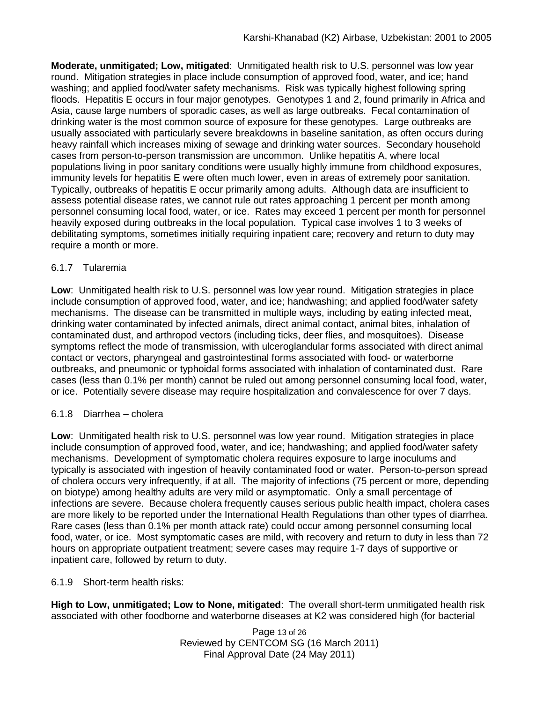**Moderate, unmitigated; Low, mitigated**:Unmitigated health risk to U.S. personnel was low year round. Mitigation strategies in place include consumption of approved food, water, and ice; hand washing; and applied food/water safety mechanisms. Risk was typically highest following spring floods. Hepatitis E occurs in four major genotypes. Genotypes 1 and 2, found primarily in Africa and Asia, cause large numbers of sporadic cases, as well as large outbreaks. Fecal contamination of drinking water is the most common source of exposure for these genotypes. Large outbreaks are usually associated with particularly severe breakdowns in baseline sanitation, as often occurs during heavy rainfall which increases mixing of sewage and drinking water sources. Secondary household cases from person-to-person transmission are uncommon. Unlike hepatitis A, where local populations living in poor sanitary conditions were usually highly immune from childhood exposures, immunity levels for hepatitis E were often much lower, even in areas of extremely poor sanitation. Typically, outbreaks of hepatitis E occur primarily among adults. Although data are insufficient to assess potential disease rates, we cannot rule out rates approaching 1 percent per month among personnel consuming local food, water, or ice. Rates may exceed 1 percent per month for personnel heavily exposed during outbreaks in the local population. Typical case involves 1 to 3 weeks of debilitating symptoms, sometimes initially requiring inpatient care; recovery and return to duty may require a month or more.

## 6.1.7 Tularemia

**Low**: Unmitigated health risk to U.S. personnel was low year round. Mitigation strategies in place include consumption of approved food, water, and ice; handwashing; and applied food/water safety mechanisms. The disease can be transmitted in multiple ways, including by eating infected meat, drinking water contaminated by infected animals, direct animal contact, animal bites, inhalation of contaminated dust, and arthropod vectors (including ticks, deer flies, and mosquitoes). Disease symptoms reflect the mode of transmission, with ulceroglandular forms associated with direct animal contact or vectors, pharyngeal and gastrointestinal forms associated with food- or waterborne outbreaks, and pneumonic or typhoidal forms associated with inhalation of contaminated dust. Rare cases (less than 0.1% per month) cannot be ruled out among personnel consuming local food, water, or ice. Potentially severe disease may require hospitalization and convalescence for over 7 days.

# 6.1.8 Diarrhea – cholera

**Low**:Unmitigated health risk to U.S. personnel was low year round. Mitigation strategies in place include consumption of approved food, water, and ice; handwashing; and applied food/water safety mechanisms. Development of symptomatic cholera requires exposure to large inoculums and typically is associated with ingestion of heavily contaminated food or water. Person-to-person spread of cholera occurs very infrequently, if at all. The majority of infections (75 percent or more, depending on biotype) among healthy adults are very mild or asymptomatic. Only a small percentage of infections are severe. Because cholera frequently causes serious public health impact, cholera cases are more likely to be reported under the International Health Regulations than other types of diarrhea. Rare cases (less than 0.1% per month attack rate) could occur among personnel consuming local food, water, or ice. Most symptomatic cases are mild, with recovery and return to duty in less than 72 hours on appropriate outpatient treatment; severe cases may require 1-7 days of supportive or inpatient care, followed by return to duty.

# 6.1.9 Short-term health risks:

**High to Low, unmitigated; Low to None, mitigated**: The overall short-term unmitigated health risk associated with other foodborne and waterborne diseases at K2 was considered high (for bacterial

> Page 13 of 26 Reviewed by CENTCOM SG (16 March 2011) Final Approval Date (24 May 2011)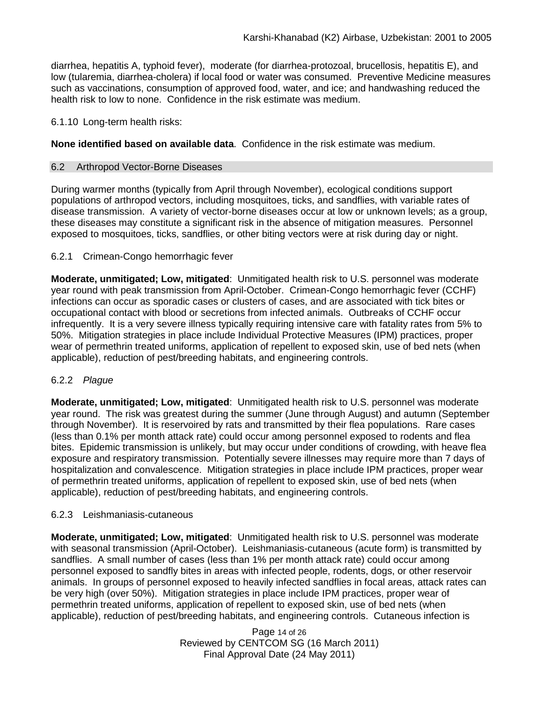diarrhea, hepatitis A, typhoid fever), moderate (for diarrhea-protozoal, brucellosis, hepatitis E), and low (tularemia, diarrhea-cholera) if local food or water was consumed. Preventive Medicine measures such as vaccinations, consumption of approved food, water, and ice; and handwashing reduced the health risk to low to none.Confidence in the risk estimate was medium.

## 6.1.10 Long-term health risks:

**None identified based on available data**.Confidence in the risk estimate was medium.

# 6.2 Arthropod Vector-Borne Diseases

During warmer months (typically from April through November), ecological conditions support populations of arthropod vectors, including mosquitoes, ticks, and sandflies, with variable rates of disease transmission. A variety of vector-borne diseases occur at low or unknown levels; as a group, these diseases may constitute a significant risk in the absence of mitigation measures. Personnel exposed to mosquitoes, ticks, sandflies, or other biting vectors were at risk during day or night.

# 6.2.1 Crimean-Congo hemorrhagic fever

**Moderate, unmitigated; Low, mitigated**: Unmitigated health risk to U.S. personnel was moderate year round with peak transmission from April-October. Crimean-Congo hemorrhagic fever (CCHF) infections can occur as sporadic cases or clusters of cases, and are associated with tick bites or occupational contact with blood or secretions from infected animals. Outbreaks of CCHF occur infrequently. It is a very severe illness typically requiring intensive care with fatality rates from 5% to 50%. Mitigation strategies in place include Individual Protective Measures (IPM) practices, proper wear of permethrin treated uniforms, application of repellent to exposed skin, use of bed nets (when applicable), reduction of pest/breeding habitats, and engineering controls.

## 6.2.2 *Plague*

**Moderate, unmitigated; Low, mitigated**: Unmitigated health risk to U.S. personnel was moderate year round. The risk was greatest during the summer (June through August) and autumn (September through November). It is reservoired by rats and transmitted by their flea populations. Rare cases (less than 0.1% per month attack rate) could occur among personnel exposed to rodents and flea bites. Epidemic transmission is unlikely, but may occur under conditions of crowding, with heave flea exposure and respiratory transmission. Potentially severe illnesses may require more than 7 days of hospitalization and convalescence. Mitigation strategies in place include IPM practices, proper wear of permethrin treated uniforms, application of repellent to exposed skin, use of bed nets (when applicable), reduction of pest/breeding habitats, and engineering controls.

## 6.2.3 Leishmaniasis-cutaneous

**Moderate, unmitigated; Low, mitigated**: Unmitigated health risk to U.S. personnel was moderate with seasonal transmission (April-October). Leishmaniasis-cutaneous (acute form) is transmitted by sandflies. A small number of cases (less than 1% per month attack rate) could occur among personnel exposed to sandfly bites in areas with infected people, rodents, dogs, or other reservoir animals. In groups of personnel exposed to heavily infected sandflies in focal areas, attack rates can be very high (over 50%). Mitigation strategies in place include IPM practices, proper wear of permethrin treated uniforms, application of repellent to exposed skin, use of bed nets (when applicable), reduction of pest/breeding habitats, and engineering controls. Cutaneous infection is

> Page 14 of 26 Reviewed by CENTCOM SG (16 March 2011) Final Approval Date (24 May 2011)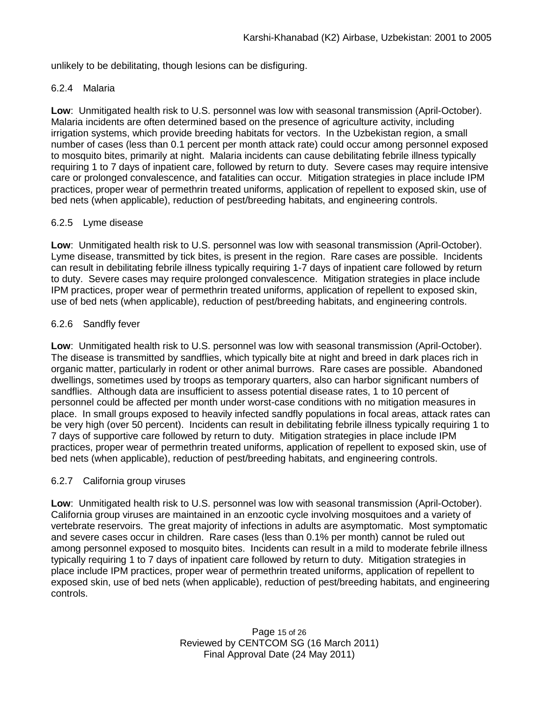unlikely to be debilitating, though lesions can be disfiguring.

### 6.2.4 Malaria

**Low**:Unmitigated health risk to U.S. personnel was low with seasonal transmission (April-October). Malaria incidents are often determined based on the presence of agriculture activity, including irrigation systems, which provide breeding habitats for vectors. In the Uzbekistan region, a small number of cases (less than 0.1 percent per month attack rate) could occur among personnel exposed to mosquito bites, primarily at night. Malaria incidents can cause debilitating febrile illness typically requiring 1 to 7 days of inpatient care, followed by return to duty. Severe cases may require intensive care or prolonged convalescence, and fatalities can occur*.* Mitigation strategies in place include IPM practices, proper wear of permethrin treated uniforms, application of repellent to exposed skin, use of bed nets (when applicable), reduction of pest/breeding habitats, and engineering controls.

### 6.2.5 Lyme disease

**Low**:Unmitigated health risk to U.S. personnel was low with seasonal transmission (April-October). Lyme disease, transmitted by tick bites, is present in the region. Rare cases are possible. Incidents can result in debilitating febrile illness typically requiring 1-7 days of inpatient care followed by return to duty. Severe cases may require prolonged convalescence. Mitigation strategies in place include IPM practices, proper wear of permethrin treated uniforms, application of repellent to exposed skin, use of bed nets (when applicable), reduction of pest/breeding habitats, and engineering controls.

### 6.2.6 Sandfly fever

**Low**: Unmitigated health risk to U.S. personnel was low with seasonal transmission (April-October). The disease is transmitted by sandflies, which typically bite at night and breed in dark places rich in organic matter, particularly in rodent or other animal burrows. Rare cases are possible. Abandoned dwellings, sometimes used by troops as temporary quarters, also can harbor significant numbers of sandflies. Although data are insufficient to assess potential disease rates, 1 to 10 percent of personnel could be affected per month under worst-case conditions with no mitigation measures in place. In small groups exposed to heavily infected sandfly populations in focal areas, attack rates can be very high (over 50 percent). Incidents can result in debilitating febrile illness typically requiring 1 to 7 days of supportive care followed by return to duty. Mitigation strategies in place include IPM practices, proper wear of permethrin treated uniforms, application of repellent to exposed skin, use of bed nets (when applicable), reduction of pest/breeding habitats, and engineering controls.

### 6.2.7 California group viruses

**Low**: Unmitigated health risk to U.S. personnel was low with seasonal transmission (April-October). California group viruses are maintained in an enzootic cycle involving mosquitoes and a variety of vertebrate reservoirs. The great majority of infections in adults are asymptomatic. Most symptomatic and severe cases occur in children. Rare cases (less than 0.1% per month) cannot be ruled out among personnel exposed to mosquito bites. Incidents can result in a mild to moderate febrile illness typically requiring 1 to 7 days of inpatient care followed by return to duty. Mitigation strategies in place include IPM practices, proper wear of permethrin treated uniforms, application of repellent to exposed skin, use of bed nets (when applicable), reduction of pest/breeding habitats, and engineering controls.

> Page 15 of 26 Reviewed by CENTCOM SG (16 March 2011) Final Approval Date (24 May 2011)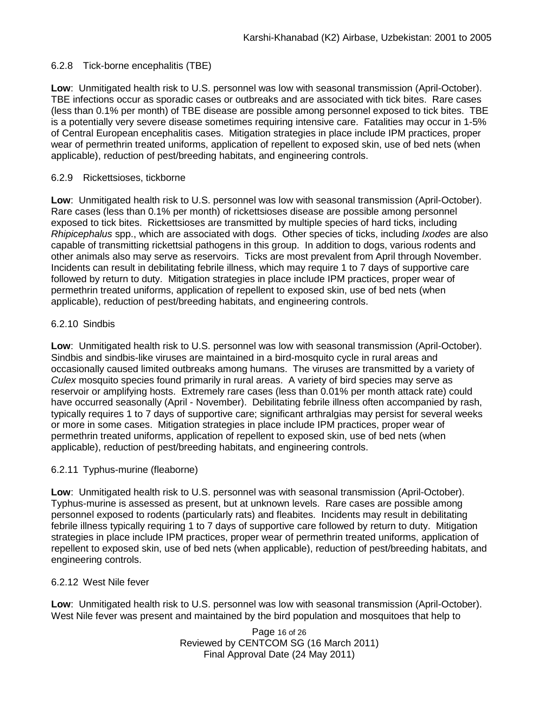## 6.2.8 Tick-borne encephalitis (TBE)

**Low**: Unmitigated health risk to U.S. personnel was low with seasonal transmission (April-October). TBE infections occur as sporadic cases or outbreaks and are associated with tick bites. Rare cases (less than 0.1% per month) of TBE disease are possible among personnel exposed to tick bites. TBE is a potentially very severe disease sometimes requiring intensive care. Fatalities may occur in 1-5% of Central European encephalitis cases. Mitigation strategies in place include IPM practices, proper wear of permethrin treated uniforms, application of repellent to exposed skin, use of bed nets (when applicable), reduction of pest/breeding habitats, and engineering controls.

# 6.2.9 Rickettsioses, tickborne

**Low**: Unmitigated health risk to U.S. personnel was low with seasonal transmission (April-October). Rare cases (less than 0.1% per month) of rickettsioses disease are possible among personnel exposed to tick bites. Rickettsioses are transmitted by multiple species of hard ticks, including *Rhipicephalus* spp., which are associated with dogs. Other species of ticks, including *Ixodes* are also capable of transmitting rickettsial pathogens in this group. In addition to dogs, various rodents and other animals also may serve as reservoirs. Ticks are most prevalent from April through November. Incidents can result in debilitating febrile illness, which may require 1 to 7 days of supportive care followed by return to duty. Mitigation strategies in place include IPM practices, proper wear of permethrin treated uniforms, application of repellent to exposed skin, use of bed nets (when applicable), reduction of pest/breeding habitats, and engineering controls.

# 6.2.10 Sindbis

**Low**: Unmitigated health risk to U.S. personnel was low with seasonal transmission (April-October). Sindbis and sindbis-like viruses are maintained in a bird-mosquito cycle in rural areas and occasionally caused limited outbreaks among humans. The viruses are transmitted by a variety of *Culex* mosquito species found primarily in rural areas. A variety of bird species may serve as reservoir or amplifying hosts. Extremely rare cases (less than 0.01% per month attack rate) could have occurred seasonally (April - November). Debilitating febrile illness often accompanied by rash, typically requires 1 to 7 days of supportive care; significant arthralgias may persist for several weeks or more in some cases. Mitigation strategies in place include IPM practices, proper wear of permethrin treated uniforms, application of repellent to exposed skin, use of bed nets (when applicable), reduction of pest/breeding habitats, and engineering controls.

## 6.2.11 Typhus-murine (fleaborne)

**Low**: Unmitigated health risk to U.S. personnel was with seasonal transmission (April-October). Typhus-murine is assessed as present, but at unknown levels. Rare cases are possible among personnel exposed to rodents (particularly rats) and fleabites. Incidents may result in debilitating febrile illness typically requiring 1 to 7 days of supportive care followed by return to duty. Mitigation strategies in place include IPM practices, proper wear of permethrin treated uniforms, application of repellent to exposed skin, use of bed nets (when applicable), reduction of pest/breeding habitats, and engineering controls.

## 6.2.12 West Nile fever

**Low**: Unmitigated health risk to U.S. personnel was low with seasonal transmission (April-October). West Nile fever was present and maintained by the bird population and mosquitoes that help to

> Page 16 of 26 Reviewed by CENTCOM SG (16 March 2011) Final Approval Date (24 May 2011)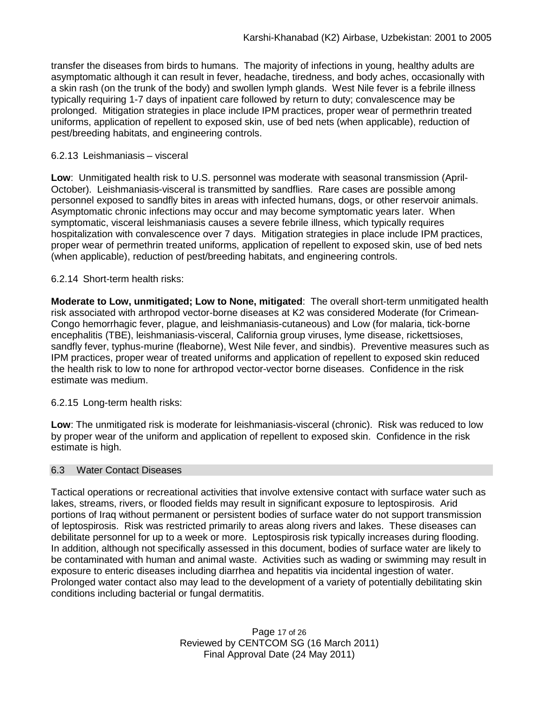transfer the diseases from birds to humans. The majority of infections in young, healthy adults are asymptomatic although it can result in fever, headache, tiredness, and body aches, occasionally with a skin rash (on the trunk of the body) and swollen lymph glands. West Nile fever is a febrile illness typically requiring 1-7 days of inpatient care followed by return to duty; convalescence may be prolonged. Mitigation strategies in place include IPM practices, proper wear of permethrin treated uniforms, application of repellent to exposed skin, use of bed nets (when applicable), reduction of pest/breeding habitats, and engineering controls.

### 6.2.13 Leishmaniasis – visceral

**Low**:Unmitigated health risk to U.S. personnel was moderate with seasonal transmission (April-October). Leishmaniasis-visceral is transmitted by sandflies. Rare cases are possible among personnel exposed to sandfly bites in areas with infected humans, dogs, or other reservoir animals. Asymptomatic chronic infections may occur and may become symptomatic years later.When symptomatic, visceral leishmaniasis causes a severe febrile illness, which typically requires hospitalization with convalescence over 7 days. Mitigation strategies in place include IPM practices, proper wear of permethrin treated uniforms, application of repellent to exposed skin, use of bed nets (when applicable), reduction of pest/breeding habitats, and engineering controls.

### 6.2.14 Short-term health risks:

**Moderate to Low, unmitigated; Low to None, mitigated**: The overall short-term unmitigated health risk associated with arthropod vector-borne diseases at K2 was considered Moderate (for Crimean-Congo hemorrhagic fever, plague, and leishmaniasis-cutaneous) and Low (for malaria, tick-borne encephalitis (TBE), leishmaniasis-visceral, California group viruses, lyme disease, rickettsioses, sandfly fever, typhus-murine (fleaborne), West Nile fever, and sindbis). Preventive measures such as IPM practices, proper wear of treated uniforms and application of repellent to exposed skin reduced the health risk to low to none for arthropod vector-vector borne diseases. Confidence in the risk estimate was medium.

## 6.2.15 Long-term health risks:

**Low**: The unmitigated risk is moderate for leishmaniasis-visceral (chronic). Risk was reduced to low by proper wear of the uniform and application of repellent to exposed skin. Confidence in the risk estimate is high.

### 6.3 Water Contact Diseases

Tactical operations or recreational activities that involve extensive contact with surface water such as lakes, streams, rivers, or flooded fields may result in significant exposure to leptospirosis. Arid portions of Iraq without permanent or persistent bodies of surface water do not support transmission of leptospirosis. Risk was restricted primarily to areas along rivers and lakes. These diseases can debilitate personnel for up to a week or more. Leptospirosis risk typically increases during flooding. In addition, although not specifically assessed in this document, bodies of surface water are likely to be contaminated with human and animal waste. Activities such as wading or swimming may result in exposure to enteric diseases including diarrhea and hepatitis via incidental ingestion of water. Prolonged water contact also may lead to the development of a variety of potentially debilitating skin conditions including bacterial or fungal dermatitis.

> Page 17 of 26 Reviewed by CENTCOM SG (16 March 2011) Final Approval Date (24 May 2011)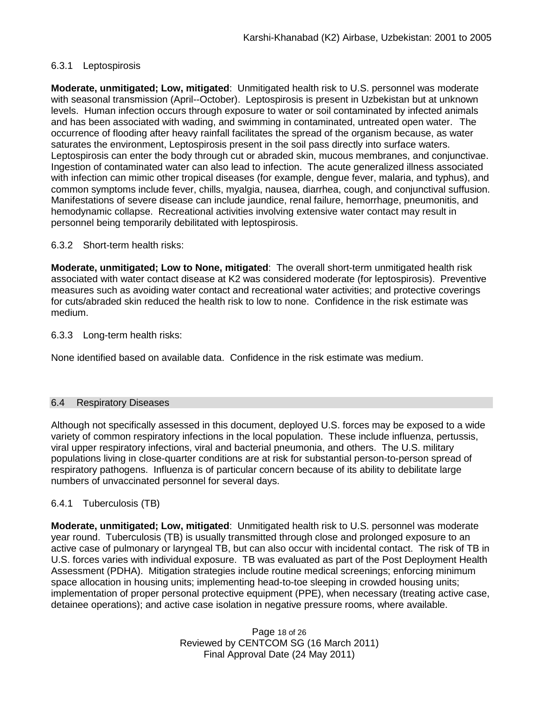## 6.3.1 Leptospirosis

**Moderate, unmitigated; Low, mitigated**: Unmitigated health risk to U.S. personnel was moderate with seasonal transmission (April--October). Leptospirosis is present in Uzbekistan but at unknown levels. Human infection occurs through exposure to water or soil contaminated by infected animals and has been associated with wading, and swimming in contaminated, untreated open water.The occurrence of flooding after heavy rainfall facilitates the spread of the organism because, as water saturates the environment, Leptospirosis present in the soil pass directly into surface waters. Leptospirosis can enter the body through cut or abraded skin, mucous membranes, and conjunctivae. Ingestion of contaminated water can also lead to infection. The acute generalized illness associated with infection can mimic other tropical diseases (for example, dengue fever, malaria, and typhus), and common symptoms include fever, chills, myalgia, nausea, diarrhea, cough, and conjunctival suffusion. Manifestations of severe disease can include jaundice, renal failure, hemorrhage, pneumonitis, and hemodynamic collapse. Recreational activities involving extensive water contact may result in personnel being temporarily debilitated with leptospirosis.

## 6.3.2 Short-term health risks:

**Moderate, unmitigated; Low to None, mitigated**:The overall short-term unmitigated health risk associated with water contact disease at K2 was considered moderate (for leptospirosis). Preventive measures such as avoiding water contact and recreational water activities; and protective coverings for cuts/abraded skin reduced the health risk to low to none. Confidence in the risk estimate was medium.

### 6.3.3 Long-term health risks:

None identified based on available data. Confidence in the risk estimate was medium.

### 6.4 Respiratory Diseases

Although not specifically assessed in this document, deployed U.S. forces may be exposed to a wide variety of common respiratory infections in the local population. These include influenza, pertussis, viral upper respiratory infections, viral and bacterial pneumonia, and others. The U.S. military populations living in close-quarter conditions are at risk for substantial person-to-person spread of respiratory pathogens. Influenza is of particular concern because of its ability to debilitate large numbers of unvaccinated personnel for several days.

## 6.4.1 Tuberculosis (TB)

**Moderate, unmitigated; Low, mitigated**:Unmitigated health risk to U.S. personnel was moderate year round. Tuberculosis (TB) is usually transmitted through close and prolonged exposure to an active case of pulmonary or laryngeal TB, but can also occur with incidental contact. The risk of TB in U.S. forces varies with individual exposure. TB was evaluated as part of the Post Deployment Health Assessment (PDHA). Mitigation strategies include routine medical screenings; enforcing minimum space allocation in housing units; implementing head-to-toe sleeping in crowded housing units; implementation of proper personal protective equipment (PPE), when necessary (treating active case, detainee operations); and active case isolation in negative pressure rooms, where available.

> Page 18 of 26 Reviewed by CENTCOM SG (16 March 2011) Final Approval Date (24 May 2011)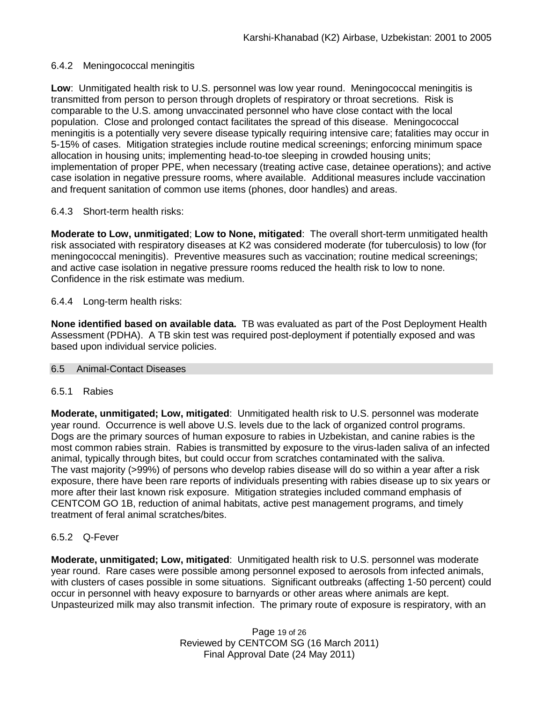### 6.4.2 Meningococcal meningitis

**Low**:Unmitigated health risk to U.S. personnel was low year round. Meningococcal meningitis is transmitted from person to person through droplets of respiratory or throat secretions. Risk is comparable to the U.S. among unvaccinated personnel who have close contact with the local population. Close and prolonged contact facilitates the spread of this disease. Meningococcal meningitis is a potentially very severe disease typically requiring intensive care; fatalities may occur in 5-15% of cases. Mitigation strategies include routine medical screenings; enforcing minimum space allocation in housing units; implementing head-to-toe sleeping in crowded housing units; implementation of proper PPE, when necessary (treating active case, detainee operations); and active case isolation in negative pressure rooms, where available. Additional measures include vaccination and frequent sanitation of common use items (phones, door handles) and areas.

### 6.4.3 Short-term health risks:

**Moderate to Low, unmitigated**; **Low to None, mitigated**: The overall short-term unmitigated health risk associated with respiratory diseases at K2 was considered moderate (for tuberculosis) to low (for meningococcal meningitis). Preventive measures such as vaccination; routine medical screenings; and active case isolation in negative pressure rooms reduced the health risk to low to none. Confidence in the risk estimate was medium.

### 6.4.4 Long-term health risks:

**None identified based on available data.** TB was evaluated as part of the Post Deployment Health Assessment (PDHA). A TB skin test was required post-deployment if potentially exposed and was based upon individual service policies.

### 6.5 Animal-Contact Diseases

### 6.5.1 Rabies

**Moderate, unmitigated; Low, mitigated**: Unmitigated health risk to U.S. personnel was moderate year round. Occurrence is well above U.S. levels due to the lack of organized control programs. Dogs are the primary sources of human exposure to rabies in Uzbekistan, and canine rabies is the most common rabies strain. Rabies is transmitted by exposure to the virus-laden saliva of an infected animal, typically through bites, but could occur from scratches contaminated with the saliva. The vast majority (>99%) of persons who develop rabies disease will do so within a year after a risk exposure, there have been rare reports of individuals presenting with rabies disease up to six years or more after their last known risk exposure. Mitigation strategies included command emphasis of CENTCOM GO 1B, reduction of animal habitats, active pest management programs, and timely treatment of feral animal scratches/bites.

## 6.5.2 Q-Fever

**Moderate, unmitigated; Low, mitigated**: Unmitigated health risk to U.S. personnel was moderate year round. Rare cases were possible among personnel exposed to aerosols from infected animals, with clusters of cases possible in some situations. Significant outbreaks (affecting 1-50 percent) could occur in personnel with heavy exposure to barnyards or other areas where animals are kept. Unpasteurized milk may also transmit infection. The primary route of exposure is respiratory, with an

> Page 19 of 26 Reviewed by CENTCOM SG (16 March 2011) Final Approval Date (24 May 2011)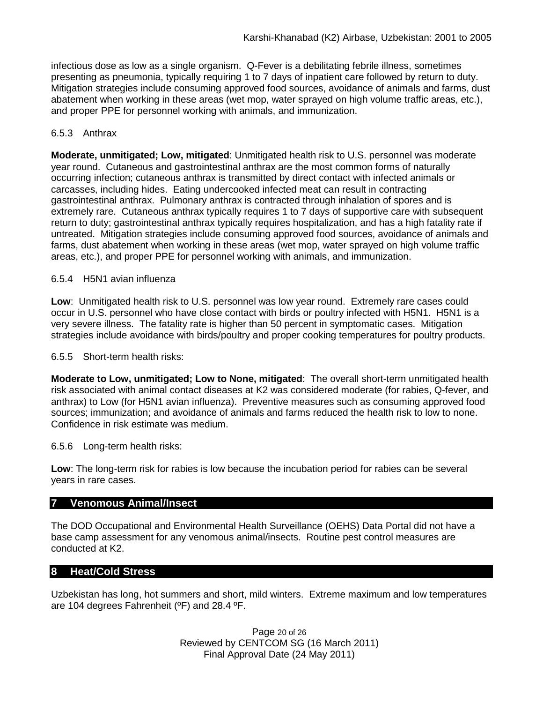infectious dose as low as a single organism. Q-Fever is a debilitating febrile illness, sometimes presenting as pneumonia, typically requiring 1 to 7 days of inpatient care followed by return to duty. Mitigation strategies include consuming approved food sources, avoidance of animals and farms, dust abatement when working in these areas (wet mop, water sprayed on high volume traffic areas, etc.), and proper PPE for personnel working with animals, and immunization.

## 6.5.3 Anthrax

**Moderate, unmitigated; Low, mitigated**: Unmitigated health risk to U.S. personnel was moderate year round. Cutaneous and gastrointestinal anthrax are the most common forms of naturally occurring infection; cutaneous anthrax is transmitted by direct contact with infected animals or carcasses, including hides. Eating undercooked infected meat can result in contracting gastrointestinal anthrax. Pulmonary anthrax is contracted through inhalation of spores and is extremely rare. Cutaneous anthrax typically requires 1 to 7 days of supportive care with subsequent return to duty; gastrointestinal anthrax typically requires hospitalization, and has a high fatality rate if untreated. Mitigation strategies include consuming approved food sources, avoidance of animals and farms, dust abatement when working in these areas (wet mop, water sprayed on high volume traffic areas, etc.), and proper PPE for personnel working with animals, and immunization.

## 6.5.4 H5N1 avian influenza

**Low**: Unmitigated health risk to U.S. personnel was low year round. Extremely rare cases could occur in U.S. personnel who have close contact with birds or poultry infected with H5N1. H5N1 is a very severe illness. The fatality rate is higher than 50 percent in symptomatic cases. Mitigation strategies include avoidance with birds/poultry and proper cooking temperatures for poultry products.

6.5.5 Short-term health risks:

**Moderate to Low, unmitigated; Low to None, mitigated**: The overall short-term unmitigated health risk associated with animal contact diseases at K2 was considered moderate (for rabies, Q-fever, and anthrax) to Low (for H5N1 avian influenza). Preventive measures such as consuming approved food sources; immunization; and avoidance of animals and farms reduced the health risk to low to none. Confidence in risk estimate was medium.

## 6.5.6 Long-term health risks:

**Low**: The long-term risk for rabies is low because the incubation period for rabies can be several years in rare cases.

## **7 Venomous Animal/Insect**

The DOD Occupational and Environmental Health Surveillance (OEHS) Data Portal did not have a base camp assessment for any venomous animal/insects. Routine pest control measures are conducted at K2.

## **8 Heat/Cold Stress**

Uzbekistan has long, hot summers and short, mild winters. Extreme maximum and low temperatures are 104 degrees Fahrenheit (ºF) and 28.4 ºF.

> Page 20 of 26 Reviewed by CENTCOM SG (16 March 2011) Final Approval Date (24 May 2011)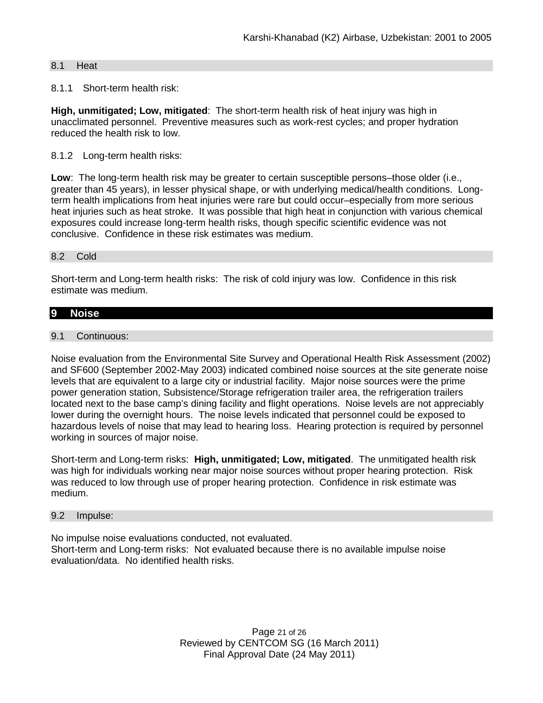### 8.1 Heat

### 8.1.1 Short-term health risk:

**High, unmitigated; Low, mitigated**: The short-term health risk of heat injury was high in unacclimated personnel. Preventive measures such as work-rest cycles; and proper hydration reduced the health risk to low.

### 8.1.2 Long-term health risks:

**Low**: The long-term health risk may be greater to certain susceptible persons–those older (i.e., greater than 45 years), in lesser physical shape, or with underlying medical/health conditions. Longterm health implications from heat injuries were rare but could occur–especially from more serious heat injuries such as heat stroke.It was possible that high heat in conjunction with various chemical exposures could increase long-term health risks, though specific scientific evidence was not conclusive. Confidence in these risk estimates was medium.

### 8.2 Cold

Short-term and Long-term health risks: The risk of cold injury was low. Confidence in this risk estimate was medium.

### **9 Noise**

### 9.1 Continuous:

Noise evaluation from the Environmental Site Survey and Operational Health Risk Assessment (2002) and SF600 (September 2002-May 2003) indicated combined noise sources at the site generate noise levels that are equivalent to a large city or industrial facility. Major noise sources were the prime power generation station, Subsistence/Storage refrigeration trailer area, the refrigeration trailers located next to the base camp's dining facility and flight operations. Noise levels are not appreciably lower during the overnight hours. The noise levels indicated that personnel could be exposed to hazardous levels of noise that may lead to hearing loss. Hearing protection is required by personnel working in sources of major noise.

Short-term and Long-term risks: **High, unmitigated; Low, mitigated**. The unmitigated health risk was high for individuals working near major noise sources without proper hearing protection. Risk was reduced to low through use of proper hearing protection. Confidence in risk estimate was medium.

### 9.2 Impulse:

No impulse noise evaluations conducted, not evaluated. Short-term and Long-term risks: Not evaluated because there is no available impulse noise evaluation/data. No identified health risks.

> Page 21 of 26 Reviewed by CENTCOM SG (16 March 2011) Final Approval Date (24 May 2011)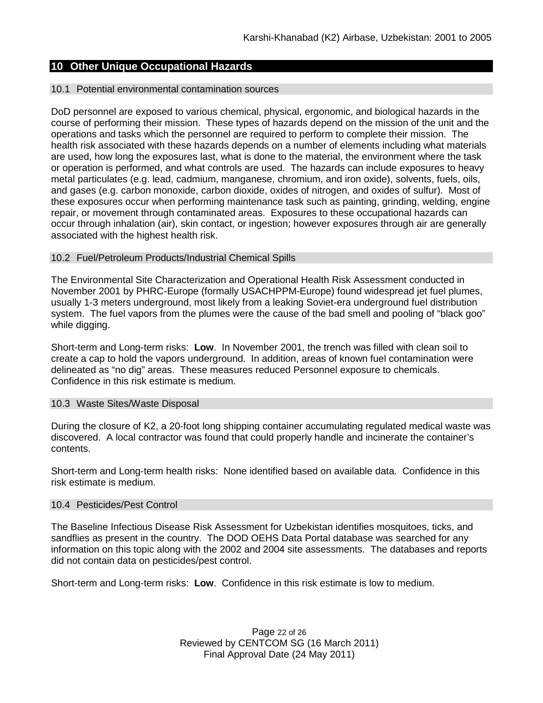# **10 Other Unique Occupational Hazards**

#### 10.1 Potential environmental contamination sources

DoD personnel are exposed to various chemical, physical, ergonomic, and biological hazards in the course of performing their mission. These types of hazards depend on the mission of the unit and the operations and tasks which the personnel are required to perform to complete their mission. The health risk associated with these hazards depends on a number of elements including what materials are used, how long the exposures last, what is done to the material, the environment where the task or operation is performed, and what controls are used. The hazards can include exposures to heavy metal particulates (e.g. lead, cadmium, manganese, chromium, and iron oxide), solvents, fuels, oils, and gases (e.g. carbon monoxide, carbon dioxide, oxides of nitrogen, and oxides of sulfur). Most of these exposures occur when performing maintenance task such as painting, grinding, welding, engine repair, or movement through contaminated areas. Exposures to these occupational hazards can occur through inhalation (air), skin contact, or ingestion; however exposures through air are generally associated with the highest health risk.

#### 10.2 Fuel/Petroleum Products/Industrial Chemical Spills

The Environmental Site Characterization and Operational Health Risk Assessment conducted in November 2001 by PHRC-Europe (formally USACHPPM-Europe) found widespread jet fuel plumes, usually 1-3 meters underground, most likely from a leaking Soviet-era underground fuel distribution system. The fuel vapors from the plumes were the cause of the bad smell and pooling of "black goo" while digging.

Short-term and Long-term risks: **Low**. In November 2001, the trench was filled with clean soil to create a cap to hold the vapors underground. In addition, areas of known fuel contamination were delineated as "no dig" areas. These measures reduced Personnel exposure to chemicals. Confidence in this risk estimate is medium.

#### 10.3 Waste Sites/Waste Disposal

During the closure of K2, a 20-foot long shipping container accumulating regulated medical waste was discovered. A local contractor was found that could properly handle and incinerate the container's contents.

Short-term and Long-term health risks:None identified based on available data. Confidence in this risk estimate is medium.

#### 10.4 Pesticides/Pest Control

The Baseline Infectious Disease Risk Assessment for Uzbekistan identifies mosquitoes, ticks, and sandflies as present in the country. The DOD OEHS Data Portal database was searched for any information on this topic along with the 2002 and 2004 site assessments. The databases and reports did not contain data on pesticides/pest control.

Short-term and Long-term risks: **Low**. Confidence in this risk estimate is low to medium.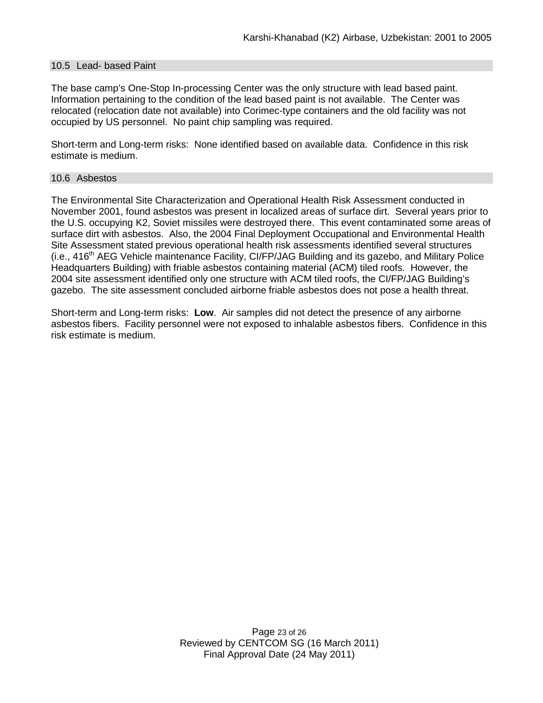### 10.5 Lead- based Paint

The base camp's One-Stop In-processing Center was the only structure with lead based paint. Information pertaining to the condition of the lead based paint is not available. The Center was relocated (relocation date not available) into Corimec-type containers and the old facility was not occupied by US personnel. No paint chip sampling was required.

Short-term and Long-term risks:None identified based on available data. Confidence in this risk estimate is medium.

#### 10.6 Asbestos

The Environmental Site Characterization and Operational Health Risk Assessment conducted in November 2001, found asbestos was present in localized areas of surface dirt. Several years prior to the U.S. occupying K2, Soviet missiles were destroyed there. This event contaminated some areas of surface dirt with asbestos. Also, the 2004 Final Deployment Occupational and Environmental Health Site Assessment stated previous operational health risk assessments identified several structures  $(i.e., 416<sup>th</sup> AEG$  Vehicle maintenance Facility, CI/FP/JAG Building and its gazebo, and Military Police Headquarters Building) with friable asbestos containing material (ACM) tiled roofs. However, the 2004 site assessment identified only one structure with ACM tiled roofs, the CI/FP/JAG Building's gazebo. The site assessment concluded airborne friable asbestos does not pose a health threat.

Short-term and Long-term risks: **Low**. Air samples did not detect the presence of any airborne asbestos fibers. Facility personnel were not exposed to inhalable asbestos fibers. Confidence in this risk estimate is medium.

> Page 23 of 26 Reviewed by CENTCOM SG (16 March 2011) Final Approval Date (24 May 2011)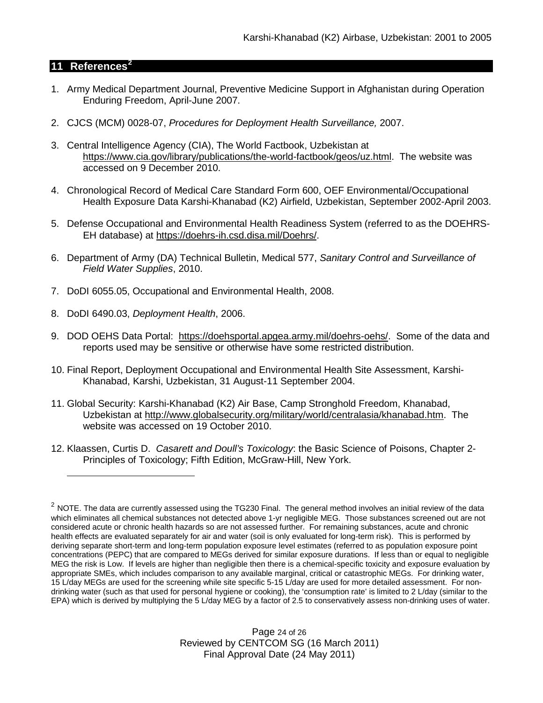## **11 References[2](#page-23-0)**

 $\overline{a}$ 

- 1. Army Medical Department Journal, Preventive Medicine Support in Afghanistan during Operation Enduring Freedom, April-June 2007.
- 2. CJCS (MCM) 0028-07, *Procedures for Deployment Health Surveillance,* 2007.
- 3. Central Intelligence Agency (CIA), The World Factbook, Uzbekistan at [https://www.cia.gov/library/publications/the-world-factbook/geos/uz.html.](https://www.cia.gov/library/publications/the-world-factbook/geos/uz.html) The website was accessed on 9 December 2010.
- 4. Chronological Record of Medical Care Standard Form 600, OEF Environmental/Occupational Health Exposure Data Karshi-Khanabad (K2) Airfield, Uzbekistan, September 2002-April 2003.
- 5. Defense Occupational and Environmental Health Readiness System (referred to as the DOEHRS-EH database) at [https://doehrs-ih.csd.disa.mil/Doehrs/.](https://doehrs-ih.csd.disa.mil/Doehrs/)
- 6. Department of Army (DA) Technical Bulletin, Medical 577, *Sanitary Control and Surveillance of Field Water Supplies*, 2010.
- 7. DoDI 6055.05, Occupational and Environmental Health, 2008.
- 8. DoDI 6490.03, *Deployment Health*, 2006.
- 9. DOD OEHS Data Portal: [https://doehsportal.apgea.army.mil/doehrs-oehs/.](https://doehsportal.apgea.army.mil/doehrs-oehs/) Some of the data and reports used may be sensitive or otherwise have some restricted distribution.
- 10. Final Report, Deployment Occupational and Environmental Health Site Assessment, Karshi-Khanabad, Karshi, Uzbekistan, 31 August-11 September 2004.
- 11. Global Security: Karshi-Khanabad (K2) Air Base, Camp Stronghold Freedom, Khanabad, Uzbekistan at [http://www.globalsecurity.org/military/world/centralasia/khanabad.htm.](http://www.globalsecurity.org/military/world/centralasia/khanabad.htm) The website was accessed on 19 October 2010.
- 12. Klaassen, Curtis D. *Casarett and Doull's Toxicology*: the Basic Science of Poisons, Chapter 2- Principles of Toxicology; Fifth Edition, McGraw-Hill, New York.

Page 24 of 26 Reviewed by CENTCOM SG (16 March 2011) Final Approval Date (24 May 2011)

<span id="page-23-0"></span> $2$  NOTE. The data are currently assessed using the TG230 Final. The general method involves an initial review of the data which eliminates all chemical substances not detected above 1-yr negligible MEG. Those substances screened out are not considered acute or chronic health hazards so are not assessed further. For remaining substances, acute and chronic health effects are evaluated separately for air and water (soil is only evaluated for long-term risk). This is performed by deriving separate short-term and long-term population exposure level estimates (referred to as population exposure point concentrations (PEPC) that are compared to MEGs derived for similar exposure durations. If less than or equal to negligible MEG the risk is Low. If levels are higher than negligible then there is a chemical-specific toxicity and exposure evaluation by appropriate SMEs, which includes comparison to any available marginal, critical or catastrophic MEGs. For drinking water, 15 L/day MEGs are used for the screening while site specific 5-15 L/day are used for more detailed assessment. For nondrinking water (such as that used for personal hygiene or cooking), the 'consumption rate' is limited to 2 L/day (similar to the EPA) which is derived by multiplying the 5 L/day MEG by a factor of 2.5 to conservatively assess non-drinking uses of water.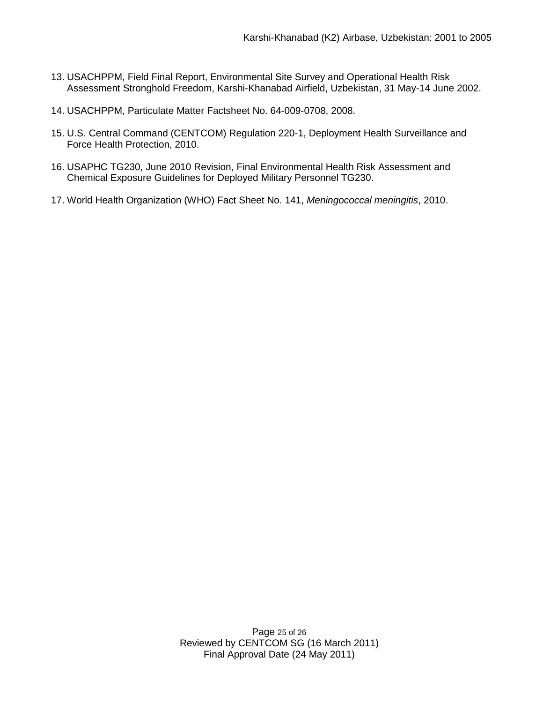- 13. USACHPPM, Field Final Report, Environmental Site Survey and Operational Health Risk Assessment Stronghold Freedom, Karshi-Khanabad Airfield, Uzbekistan, 31 May-14 June 2002.
- 14. USACHPPM, Particulate Matter Factsheet No. 64-009-0708, 2008.
- 15. U.S. Central Command (CENTCOM) Regulation 220-1, Deployment Health Surveillance and Force Health Protection, 2010.
- 16. USAPHC TG230, June 2010 Revision, Final Environmental Health Risk Assessment and Chemical Exposure Guidelines for Deployed Military Personnel TG230.
- 17. World Health Organization (WHO) Fact Sheet No. 141, *Meningococcal meningitis*, 2010.